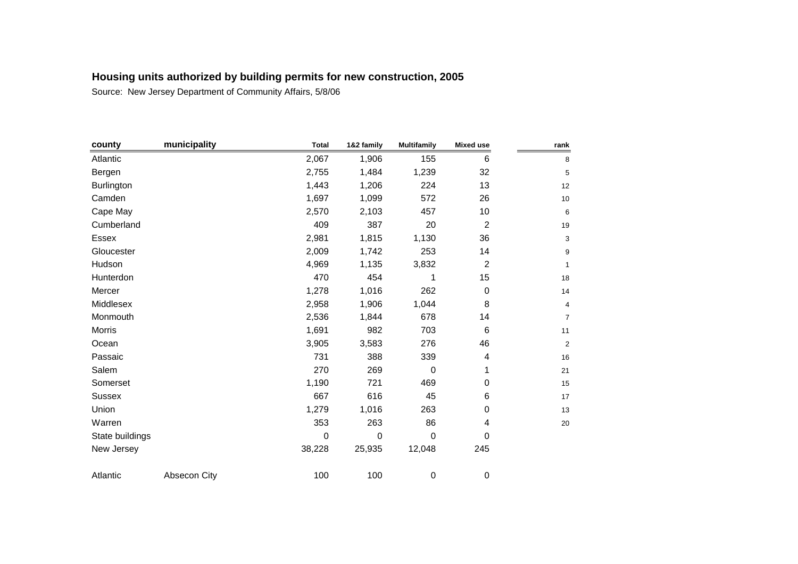| county          | municipality | <b>Total</b> | 1&2 family  | <b>Multifamily</b> | <b>Mixed use</b> | rank                      |
|-----------------|--------------|--------------|-------------|--------------------|------------------|---------------------------|
| Atlantic        |              | 2,067        | 1,906       | 155                | 6                | 8                         |
| Bergen          |              | 2,755        | 1,484       | 1,239              | 32               | 5                         |
| Burlington      |              | 1,443        | 1,206       | 224                | 13               | 12                        |
| Camden          |              | 1,697        | 1,099       | 572                | 26               | $10$                      |
| Cape May        |              | 2,570        | 2,103       | 457                | 10               | $\,6\,$                   |
| Cumberland      |              | 409          | 387         | 20                 | $\overline{c}$   | 19                        |
| Essex           |              | 2,981        | 1,815       | 1,130              | 36               | $\ensuremath{\mathsf{3}}$ |
| Gloucester      |              | 2,009        | 1,742       | 253                | 14               | 9                         |
| Hudson          |              | 4,969        | 1,135       | 3,832              | $\overline{c}$   | $\mathbf{1}$              |
| Hunterdon       |              | 470          | 454         | 1                  | 15               | 18                        |
| Mercer          |              | 1,278        | 1,016       | 262                | $\pmb{0}$        | 14                        |
| Middlesex       |              | 2,958        | 1,906       | 1,044              | 8                | 4                         |
| Monmouth        |              | 2,536        | 1,844       | 678                | 14               | $\overline{7}$            |
| Morris          |              | 1,691        | 982         | 703                | 6                | 11                        |
| Ocean           |              | 3,905        | 3,583       | 276                | 46               | $\mathbf 2$               |
| Passaic         |              | 731          | 388         | 339                | 4                | 16                        |
| Salem           |              | 270          | 269         | 0                  | 1                | 21                        |
| Somerset        |              | 1,190        | 721         | 469                | 0                | 15                        |
| <b>Sussex</b>   |              | 667          | 616         | 45                 | 6                | 17                        |
| Union           |              | 1,279        | 1,016       | 263                | 0                | 13                        |
| Warren          |              | 353          | 263         | 86                 | 4                | $20\,$                    |
| State buildings |              | $\mathbf 0$  | $\mathbf 0$ | $\mathbf 0$        | 0                |                           |
| New Jersey      |              | 38,228       | 25,935      | 12,048             | 245              |                           |
| Atlantic        | Absecon City | 100          | 100         | $\,0\,$            | 0                |                           |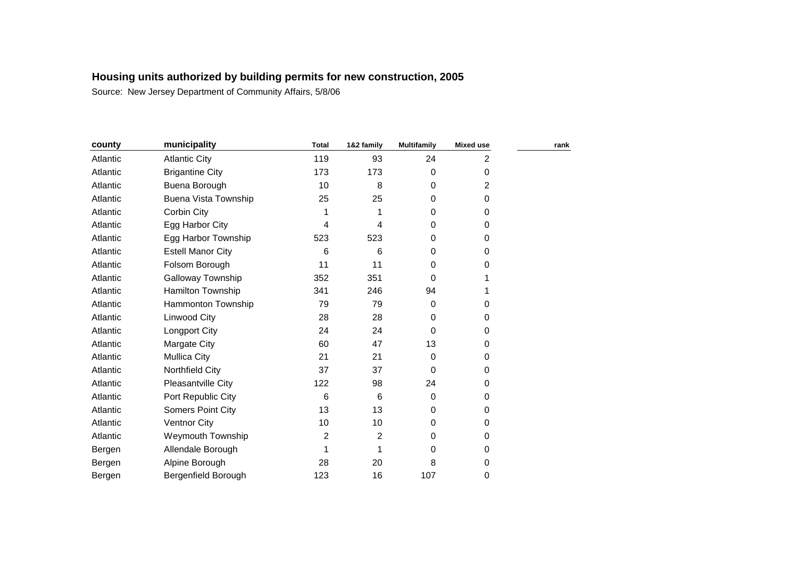| county   | municipality             | <b>Total</b> | 1&2 family | <b>Multifamily</b> | <b>Mixed use</b> | rank |
|----------|--------------------------|--------------|------------|--------------------|------------------|------|
| Atlantic | <b>Atlantic City</b>     | 119          | 93         | 24                 | $\overline{2}$   |      |
| Atlantic | <b>Brigantine City</b>   | 173          | 173        | 0                  | 0                |      |
| Atlantic | Buena Borough            | 10           | 8          | 0                  | $\overline{2}$   |      |
| Atlantic | Buena Vista Township     | 25           | 25         | 0                  | 0                |      |
| Atlantic | Corbin City              |              | 1          | 0                  | 0                |      |
| Atlantic | Egg Harbor City          | 4            | 4          | 0                  | 0                |      |
| Atlantic | Egg Harbor Township      | 523          | 523        | 0                  | 0                |      |
| Atlantic | <b>Estell Manor City</b> | 6            | 6          | 0                  | 0                |      |
| Atlantic | Folsom Borough           | 11           | 11         | 0                  | 0                |      |
| Atlantic | Galloway Township        | 352          | 351        | 0                  |                  |      |
| Atlantic | Hamilton Township        | 341          | 246        | 94                 |                  |      |
| Atlantic | Hammonton Township       | 79           | 79         | 0                  | 0                |      |
| Atlantic | Linwood City             | 28           | 28         | 0                  | 0                |      |
| Atlantic | Longport City            | 24           | 24         | 0                  | 0                |      |
| Atlantic | Margate City             | 60           | 47         | 13                 | 0                |      |
| Atlantic | <b>Mullica City</b>      | 21           | 21         | 0                  | 0                |      |
| Atlantic | Northfield City          | 37           | 37         | 0                  | 0                |      |
| Atlantic | Pleasantville City       | 122          | 98         | 24                 | 0                |      |
| Atlantic | Port Republic City       | 6            | 6          | 0                  | 0                |      |
| Atlantic | <b>Somers Point City</b> | 13           | 13         | 0                  | 0                |      |
| Atlantic | <b>Ventnor City</b>      | 10           | 10         | 0                  | 0                |      |
| Atlantic | <b>Weymouth Township</b> | 2            | 2          | 0                  | 0                |      |
| Bergen   | Allendale Borough        |              | 1          | 0                  | 0                |      |
| Bergen   | Alpine Borough           | 28           | 20         | 8                  | 0                |      |
| Bergen   | Bergenfield Borough      | 123          | 16         | 107                | 0                |      |
|          |                          |              |            |                    |                  |      |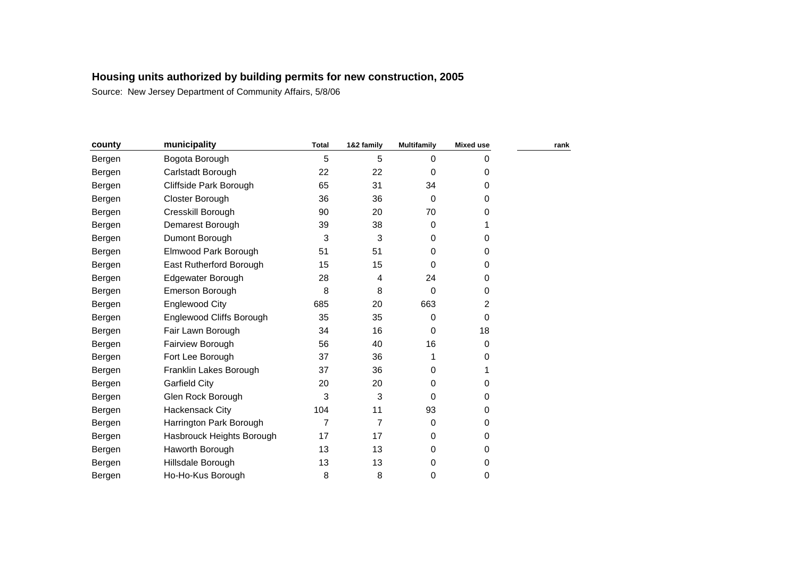| county | municipality              | <b>Total</b>   | 1&2 family     | <b>Multifamily</b> | <b>Mixed use</b> | rank |
|--------|---------------------------|----------------|----------------|--------------------|------------------|------|
| Bergen | Bogota Borough            | 5              | 5              | 0                  | 0                |      |
| Bergen | Carlstadt Borough         | 22             | 22             | 0                  | 0                |      |
| Bergen | Cliffside Park Borough    | 65             | 31             | 34                 | 0                |      |
| Bergen | Closter Borough           | 36             | 36             | 0                  | 0                |      |
| Bergen | Cresskill Borough         | 90             | 20             | 70                 | 0                |      |
| Bergen | Demarest Borough          | 39             | 38             | 0                  |                  |      |
| Bergen | Dumont Borough            | 3              | 3              | 0                  | 0                |      |
| Bergen | Elmwood Park Borough      | 51             | 51             | 0                  | 0                |      |
| Bergen | East Rutherford Borough   | 15             | 15             | 0                  | 0                |      |
| Bergen | Edgewater Borough         | 28             | 4              | 24                 | 0                |      |
| Bergen | Emerson Borough           | 8              | 8              | 0                  | 0                |      |
| Bergen | Englewood City            | 685            | 20             | 663                | 2                |      |
| Bergen | Englewood Cliffs Borough  | 35             | 35             | 0                  | 0                |      |
| Bergen | Fair Lawn Borough         | 34             | 16             | 0                  | 18               |      |
| Bergen | Fairview Borough          | 56             | 40             | 16                 | 0                |      |
| Bergen | Fort Lee Borough          | 37             | 36             | 1                  | 0                |      |
| Bergen | Franklin Lakes Borough    | 37             | 36             | 0                  |                  |      |
| Bergen | <b>Garfield City</b>      | 20             | 20             | 0                  | 0                |      |
| Bergen | Glen Rock Borough         | 3              | 3              | 0                  | 0                |      |
| Bergen | Hackensack City           | 104            | 11             | 93                 | 0                |      |
| Bergen | Harrington Park Borough   | $\overline{7}$ | $\overline{7}$ | 0                  | 0                |      |
| Bergen | Hasbrouck Heights Borough | 17             | 17             | 0                  | 0                |      |
| Bergen | Haworth Borough           | 13             | 13             | 0                  | 0                |      |
| Bergen | Hillsdale Borough         | 13             | 13             | 0                  | 0                |      |
| Bergen | Ho-Ho-Kus Borough         | 8              | 8              | 0                  | 0                |      |
|        |                           |                |                |                    |                  |      |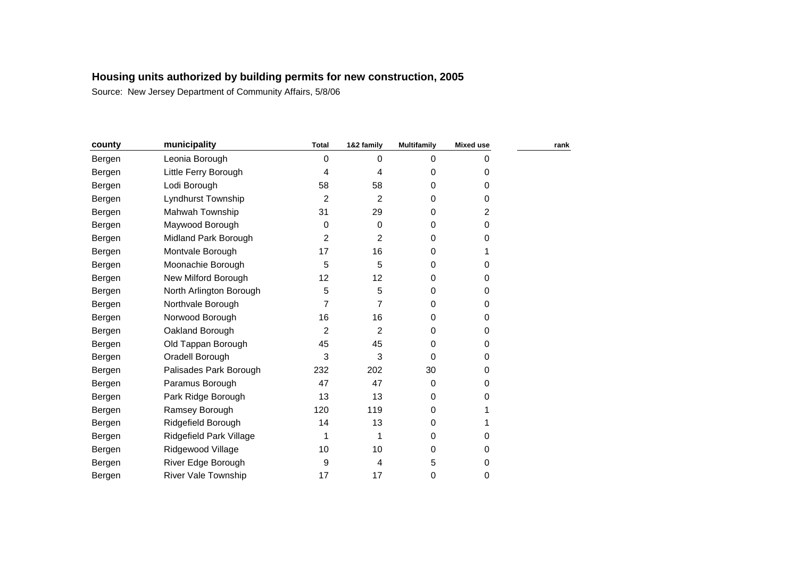| county | municipality               | <b>Total</b> | 1&2 family     | <b>Multifamily</b> | <b>Mixed use</b> | rank |
|--------|----------------------------|--------------|----------------|--------------------|------------------|------|
| Bergen | Leonia Borough             | 0            | 0              | 0                  | 0                |      |
| Bergen | Little Ferry Borough       | 4            | 4              | 0                  | 0                |      |
| Bergen | Lodi Borough               | 58           | 58             | 0                  | 0                |      |
| Bergen | Lyndhurst Township         | 2            | $\overline{2}$ | 0                  | 0                |      |
| Bergen | Mahwah Township            | 31           | 29             | 0                  | 2                |      |
| Bergen | Maywood Borough            | 0            | 0              | 0                  | 0                |      |
| Bergen | Midland Park Borough       | 2            | $\overline{c}$ | 0                  | 0                |      |
| Bergen | Montvale Borough           | 17           | 16             | 0                  |                  |      |
| Bergen | Moonachie Borough          | 5            | 5              | 0                  | 0                |      |
| Bergen | New Milford Borough        | 12           | 12             | 0                  | 0                |      |
| Bergen | North Arlington Borough    | 5            | 5              | 0                  | 0                |      |
| Bergen | Northvale Borough          | 7            | 7              | 0                  | 0                |      |
| Bergen | Norwood Borough            | 16           | 16             | 0                  | 0                |      |
| Bergen | Oakland Borough            | 2            | 2              | 0                  | 0                |      |
| Bergen | Old Tappan Borough         | 45           | 45             | 0                  | 0                |      |
| Bergen | Oradell Borough            | 3            | 3              | 0                  | 0                |      |
| Bergen | Palisades Park Borough     | 232          | 202            | 30                 | 0                |      |
| Bergen | Paramus Borough            | 47           | 47             | 0                  | 0                |      |
| Bergen | Park Ridge Borough         | 13           | 13             | 0                  | 0                |      |
| Bergen | Ramsey Borough             | 120          | 119            | 0                  |                  |      |
| Bergen | Ridgefield Borough         | 14           | 13             | 0                  |                  |      |
| Bergen | Ridgefield Park Village    | 1            | 1              | 0                  | 0                |      |
| Bergen | Ridgewood Village          | 10           | 10             | 0                  | 0                |      |
| Bergen | River Edge Borough         | 9            | 4              | 5                  | 0                |      |
| Bergen | <b>River Vale Township</b> | 17           | 17             | 0                  | 0                |      |
|        |                            |              |                |                    |                  |      |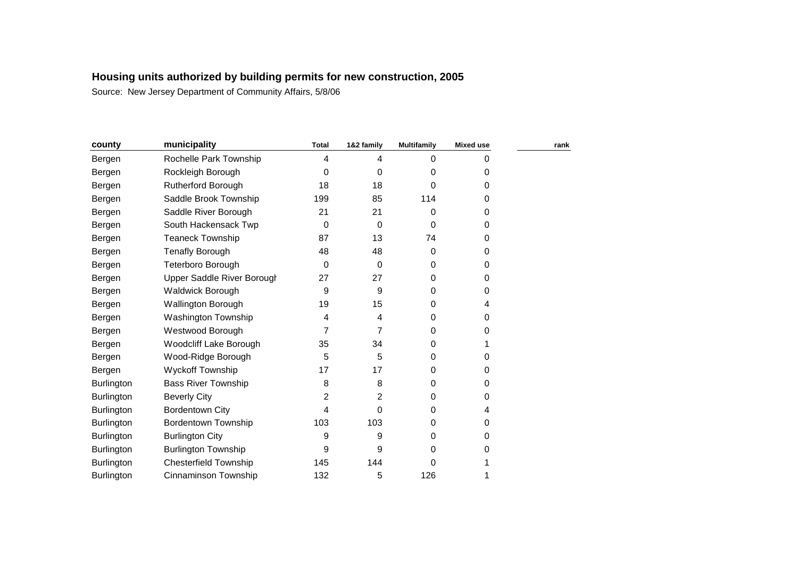| county            | municipality                 | <b>Total</b>            | 1&2 family | <b>Multifamily</b> | <b>Mixed use</b> | rank |
|-------------------|------------------------------|-------------------------|------------|--------------------|------------------|------|
| Bergen            | Rochelle Park Township       | $\overline{\mathbf{4}}$ | 4          | 0                  | 0                |      |
| Bergen            | Rockleigh Borough            | 0                       | 0          | 0                  | 0                |      |
| Bergen            | <b>Rutherford Borough</b>    | 18                      | 18         | 0                  | 0                |      |
| Bergen            | Saddle Brook Township        | 199                     | 85         | 114                | 0                |      |
| Bergen            | Saddle River Borough         | 21                      | 21         | 0                  | 0                |      |
| Bergen            | South Hackensack Twp         | 0                       | 0          | 0                  | 0                |      |
| Bergen            | <b>Teaneck Township</b>      | 87                      | 13         | 74                 | 0                |      |
| Bergen            | <b>Tenafly Borough</b>       | 48                      | 48         | 0                  | 0                |      |
| Bergen            | Teterboro Borough            | 0                       | 0          | 0                  | 0                |      |
| Bergen            | Upper Saddle River Borough   | 27                      | 27         | 0                  | 0                |      |
| Bergen            | <b>Waldwick Borough</b>      | 9                       | 9          | 0                  | 0                |      |
| Bergen            | <b>Wallington Borough</b>    | 19                      | 15         | 0                  | 4                |      |
| Bergen            | <b>Washington Township</b>   | 4                       | 4          | 0                  | 0                |      |
| Bergen            | Westwood Borough             | 7                       | 7          | 0                  | 0                |      |
| Bergen            | Woodcliff Lake Borough       | 35                      | 34         | 0                  |                  |      |
| Bergen            | Wood-Ridge Borough           | 5                       | 5          | 0                  | 0                |      |
| Bergen            | <b>Wyckoff Township</b>      | 17                      | 17         | 0                  | 0                |      |
| <b>Burlington</b> | <b>Bass River Township</b>   | 8                       | 8          | 0                  | 0                |      |
| Burlington        | <b>Beverly City</b>          | 2                       | 2          | 0                  | 0                |      |
| <b>Burlington</b> | <b>Bordentown City</b>       | 4                       | 0          | 0                  | 4                |      |
| Burlington        | <b>Bordentown Township</b>   | 103                     | 103        | 0                  | 0                |      |
| Burlington        | <b>Burlington City</b>       | 9                       | 9          | 0                  | 0                |      |
| Burlington        | <b>Burlington Township</b>   | 9                       | 9          | 0                  | 0                |      |
| <b>Burlington</b> | <b>Chesterfield Township</b> | 145                     | 144        | 0                  |                  |      |
| Burlington        | Cinnaminson Township         | 132                     | 5          | 126                |                  |      |
|                   |                              |                         |            |                    |                  |      |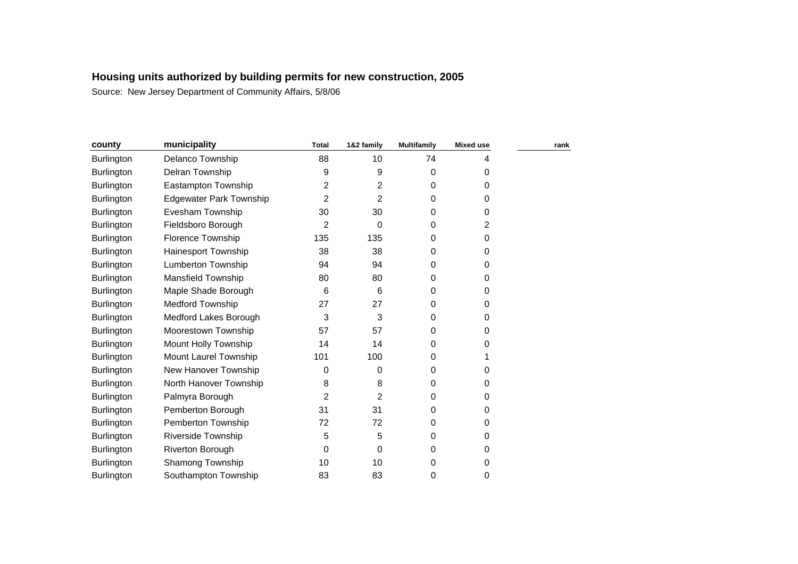| county            | municipality                   | <b>Total</b> | 1&2 family | <b>Multifamily</b> | <b>Mixed use</b> | rank |
|-------------------|--------------------------------|--------------|------------|--------------------|------------------|------|
| Burlington        | Delanco Township               | 88           | 10         | 74                 | 4                |      |
| <b>Burlington</b> | Delran Township                | 9            | 9          | 0                  | 0                |      |
| Burlington        | Eastampton Township            | 2            | 2          | 0                  | 0                |      |
| <b>Burlington</b> | <b>Edgewater Park Township</b> | 2            | 2          | 0                  | 0                |      |
| Burlington        | Evesham Township               | 30           | 30         | 0                  | 0                |      |
| Burlington        | Fieldsboro Borough             | 2            | 0          | 0                  | 2                |      |
| <b>Burlington</b> | <b>Florence Township</b>       | 135          | 135        | 0                  | 0                |      |
| <b>Burlington</b> | Hainesport Township            | 38           | 38         | 0                  | 0                |      |
| <b>Burlington</b> | Lumberton Township             | 94           | 94         | 0                  | 0                |      |
| <b>Burlington</b> | Mansfield Township             | 80           | 80         | 0                  | 0                |      |
| <b>Burlington</b> | Maple Shade Borough            | 6            | 6          | 0                  | 0                |      |
| Burlington        | Medford Township               | 27           | 27         | 0                  | 0                |      |
| Burlington        | Medford Lakes Borough          | 3            | 3          | 0                  | 0                |      |
| <b>Burlington</b> | Moorestown Township            | 57           | 57         | 0                  | $\Omega$         |      |
| Burlington        | Mount Holly Township           | 14           | 14         | 0                  | 0                |      |
| <b>Burlington</b> | Mount Laurel Township          | 101          | 100        | 0                  |                  |      |
| <b>Burlington</b> | New Hanover Township           | 0            | 0          | 0                  | 0                |      |
| <b>Burlington</b> | North Hanover Township         | 8            | 8          | 0                  | 0                |      |
| <b>Burlington</b> | Palmyra Borough                | 2            | 2          | 0                  | 0                |      |
| <b>Burlington</b> | Pemberton Borough              | 31           | 31         | 0                  | 0                |      |
| Burlington        | Pemberton Township             | 72           | 72         | 0                  | 0                |      |
| Burlington        | <b>Riverside Township</b>      | 5            | 5          | 0                  | 0                |      |
| <b>Burlington</b> | Riverton Borough               | 0            | 0          | 0                  | 0                |      |
| <b>Burlington</b> | Shamong Township               | 10           | 10         | 0                  | 0                |      |
| <b>Burlington</b> | Southampton Township           | 83           | 83         | 0                  | 0                |      |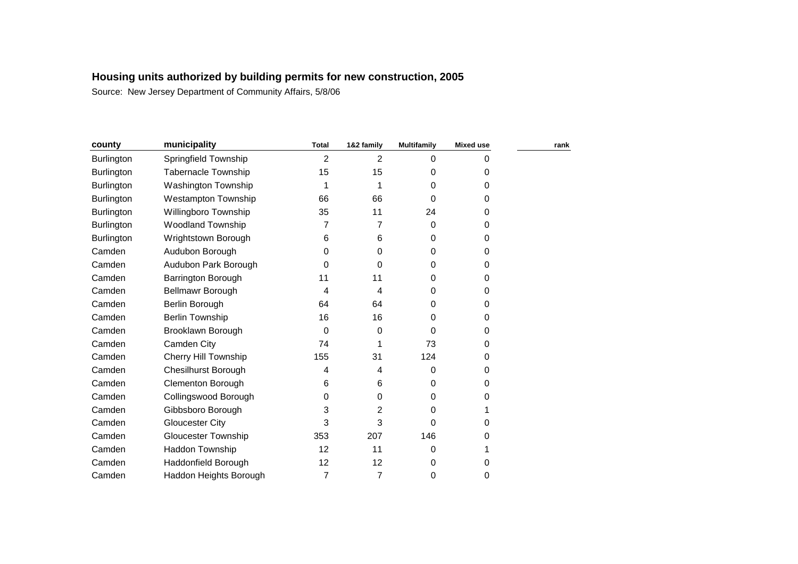| county            | municipality               | <b>Total</b>   | 1&2 family     | <b>Multifamily</b> | <b>Mixed use</b> | rank |
|-------------------|----------------------------|----------------|----------------|--------------------|------------------|------|
| Burlington        | Springfield Township       | $\overline{2}$ | 2              | 0                  | 0                |      |
| <b>Burlington</b> | <b>Tabernacle Township</b> | 15             | 15             | 0                  | 0                |      |
| <b>Burlington</b> | Washington Township        |                |                | 0                  | 0                |      |
| Burlington        | <b>Westampton Township</b> | 66             | 66             | 0                  | 0                |      |
| Burlington        | Willingboro Township       | 35             | 11             | 24                 | 0                |      |
| Burlington        | <b>Woodland Township</b>   | 7              | 7              | 0                  | 0                |      |
| <b>Burlington</b> | Wrightstown Borough        | 6              | 6              | 0                  | 0                |      |
| Camden            | Audubon Borough            | 0              | 0              | 0                  | 0                |      |
| Camden            | Audubon Park Borough       | 0              | 0              | 0                  | 0                |      |
| Camden            | <b>Barrington Borough</b>  | 11             | 11             | 0                  | 0                |      |
| Camden            | Bellmawr Borough           | 4              | 4              | 0                  | 0                |      |
| Camden            | Berlin Borough             | 64             | 64             | 0                  | 0                |      |
| Camden            | <b>Berlin Township</b>     | 16             | 16             | 0                  | 0                |      |
| Camden            | Brooklawn Borough          | 0              | 0              | 0                  | 0                |      |
| Camden            | Camden City                | 74             | 1              | 73                 | 0                |      |
| Camden            | Cherry Hill Township       | 155            | 31             | 124                | 0                |      |
| Camden            | <b>Chesilhurst Borough</b> | 4              | 4              | 0                  | 0                |      |
| Camden            | <b>Clementon Borough</b>   | 6              | 6              | 0                  | 0                |      |
| Camden            | Collingswood Borough       | 0              | 0              | 0                  | 0                |      |
| Camden            | Gibbsboro Borough          | 3              | 2              | 0                  |                  |      |
| Camden            | Gloucester City            | 3              | 3              | 0                  | 0                |      |
| Camden            | <b>Gloucester Township</b> | 353            | 207            | 146                | 0                |      |
| Camden            | Haddon Township            | 12             | 11             | 0                  |                  |      |
| Camden            | Haddonfield Borough        | 12             | 12             | 0                  | 0                |      |
| Camden            | Haddon Heights Borough     | 7              | $\overline{7}$ | 0                  | 0                |      |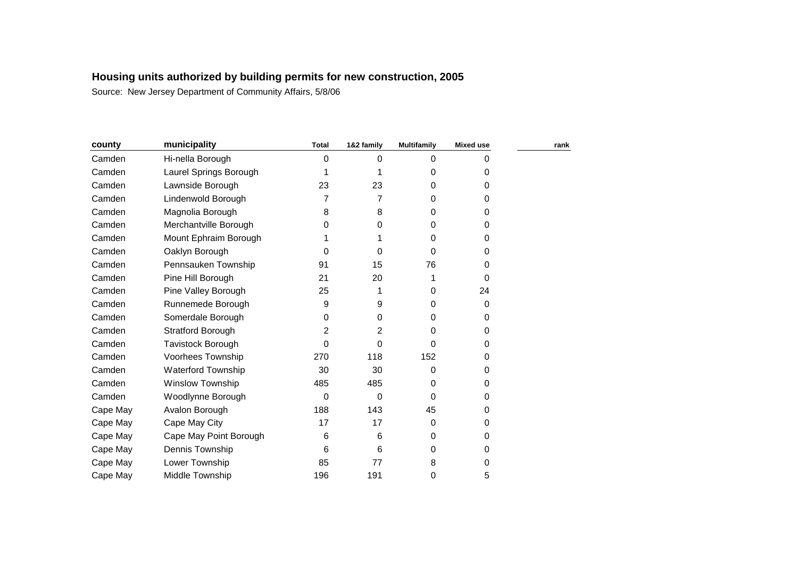| county   | municipality            | <b>Total</b> | 1&2 family | <b>Multifamily</b> | <b>Mixed use</b> | rank |
|----------|-------------------------|--------------|------------|--------------------|------------------|------|
| Camden   | Hi-nella Borough        | 0            | 0          | 0                  | O                |      |
| Camden   | Laurel Springs Borough  |              |            | 0                  | 0                |      |
| Camden   | Lawnside Borough        | 23           | 23         | 0                  | 0                |      |
| Camden   | Lindenwold Borough      | 7            | 7          | 0                  | 0                |      |
| Camden   | Magnolia Borough        | 8            | 8          | 0                  | 0                |      |
| Camden   | Merchantville Borough   | 0            | 0          | 0                  | 0                |      |
| Camden   | Mount Ephraim Borough   |              |            | 0                  | 0                |      |
| Camden   | Oaklyn Borough          | 0            | 0          | 0                  | 0                |      |
| Camden   | Pennsauken Township     | 91           | 15         | 76                 | 0                |      |
| Camden   | Pine Hill Borough       | 21           | 20         |                    | $\Omega$         |      |
| Camden   | Pine Valley Borough     | 25           | 1          | 0                  | 24               |      |
| Camden   | Runnemede Borough       | 9            | 9          | 0                  | $\Omega$         |      |
| Camden   | Somerdale Borough       | 0            | 0          | 0                  | 0                |      |
| Camden   | Stratford Borough       | 2            | 2          | 0                  | 0                |      |
| Camden   | Tavistock Borough       | 0            | 0          | 0                  | 0                |      |
| Camden   | Voorhees Township       | 270          | 118        | 152                | 0                |      |
| Camden   | Waterford Township      | 30           | 30         | 0                  | 0                |      |
| Camden   | <b>Winslow Township</b> | 485          | 485        | 0                  | 0                |      |
| Camden   | Woodlynne Borough       | 0            | 0          | 0                  | 0                |      |
| Cape May | Avalon Borough          | 188          | 143        | 45                 | 0                |      |
| Cape May | Cape May City           | 17           | 17         | 0                  | 0                |      |
| Cape May | Cape May Point Borough  | 6            | 6          | 0                  | 0                |      |
| Cape May | Dennis Township         | 6            | 6          | 0                  | 0                |      |
| Cape May | Lower Township          | 85           | 77         | 8                  | 0                |      |
| Cape May | Middle Township         | 196          | 191        | 0                  | 5                |      |
|          |                         |              |            |                    |                  |      |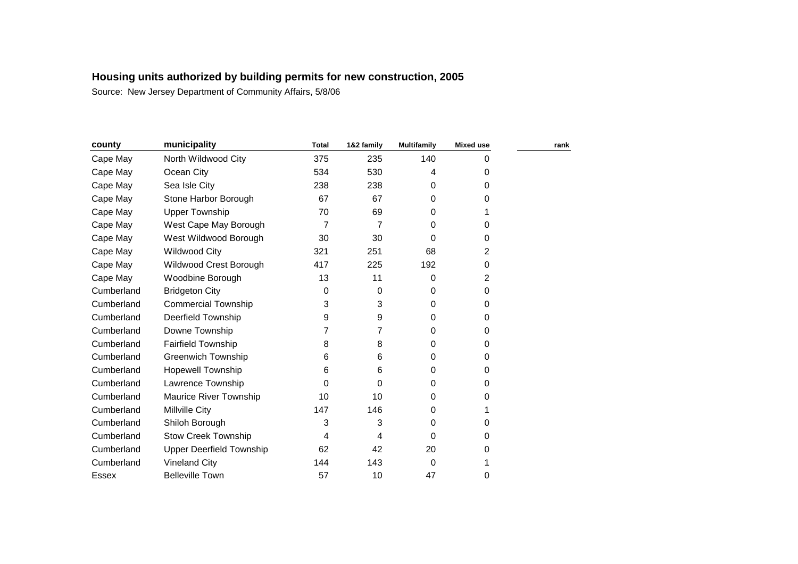| county     | municipality                    | <b>Total</b> | 1&2 family | <b>Multifamily</b> | <b>Mixed use</b> | rank |
|------------|---------------------------------|--------------|------------|--------------------|------------------|------|
| Cape May   | North Wildwood City             | 375          | 235        | 140                | 0                |      |
| Cape May   | Ocean City                      | 534          | 530        | 4                  | 0                |      |
| Cape May   | Sea Isle City                   | 238          | 238        | 0                  | 0                |      |
| Cape May   | Stone Harbor Borough            | 67           | 67         | 0                  | 0                |      |
| Cape May   | <b>Upper Township</b>           | 70           | 69         | 0                  |                  |      |
| Cape May   | West Cape May Borough           | 7            | 7          | 0                  | 0                |      |
| Cape May   | West Wildwood Borough           | 30           | 30         | 0                  | 0                |      |
| Cape May   | <b>Wildwood City</b>            | 321          | 251        | 68                 | 2                |      |
| Cape May   | Wildwood Crest Borough          | 417          | 225        | 192                | 0                |      |
| Cape May   | Woodbine Borough                | 13           | 11         | 0                  | 2                |      |
| Cumberland | <b>Bridgeton City</b>           | 0            | 0          | 0                  | 0                |      |
| Cumberland | <b>Commercial Township</b>      | 3            | 3          | 0                  | 0                |      |
| Cumberland | Deerfield Township              | 9            | 9          | 0                  | 0                |      |
| Cumberland | Downe Township                  | 7            | 7          | 0                  | 0                |      |
| Cumberland | Fairfield Township              | 8            | 8          | 0                  | 0                |      |
| Cumberland | <b>Greenwich Township</b>       | 6            | 6          | 0                  | 0                |      |
| Cumberland | <b>Hopewell Township</b>        | 6            | 6          | 0                  | 0                |      |
| Cumberland | Lawrence Township               | $\Omega$     | 0          | 0                  | 0                |      |
| Cumberland | Maurice River Township          | 10           | 10         | 0                  | 0                |      |
| Cumberland | Millville City                  | 147          | 146        | 0                  | 1                |      |
| Cumberland | Shiloh Borough                  | 3            | 3          | 0                  | 0                |      |
| Cumberland | <b>Stow Creek Township</b>      | 4            | 4          | $\Omega$           | 0                |      |
| Cumberland | <b>Upper Deerfield Township</b> | 62           | 42         | 20                 | 0                |      |
| Cumberland | <b>Vineland City</b>            | 144          | 143        | 0                  | 1                |      |
| Essex      | <b>Belleville Town</b>          | 57           | 10         | 47                 | 0                |      |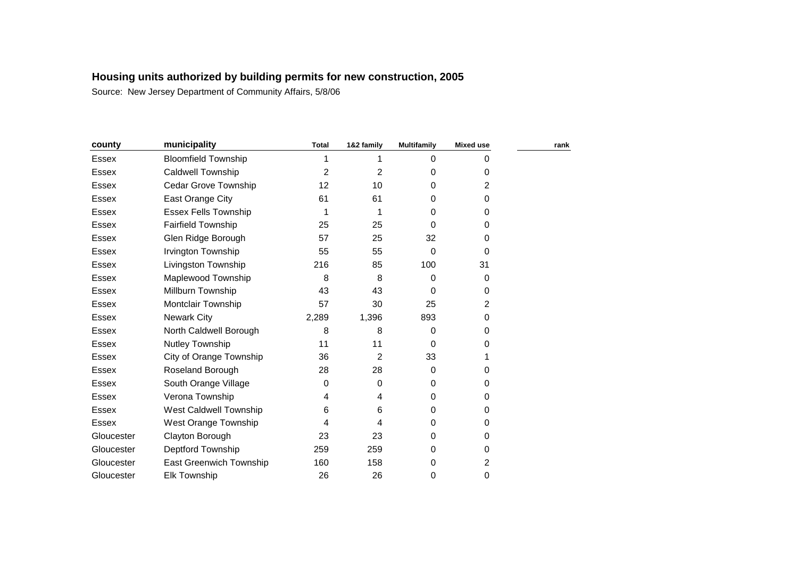| county       | municipality                | <b>Total</b> | 1&2 family     | <b>Multifamily</b> | <b>Mixed use</b> | rank |
|--------------|-----------------------------|--------------|----------------|--------------------|------------------|------|
| <b>Essex</b> | <b>Bloomfield Township</b>  |              |                | $\Omega$           | 0                |      |
| <b>Essex</b> | <b>Caldwell Township</b>    | 2            | $\overline{2}$ | 0                  | 0                |      |
| <b>Essex</b> | Cedar Grove Township        | 12           | 10             | 0                  | $\overline{2}$   |      |
| Essex        | East Orange City            | 61           | 61             | 0                  | 0                |      |
| Essex        | <b>Essex Fells Township</b> |              | 1              | 0                  | 0                |      |
| <b>Essex</b> | <b>Fairfield Township</b>   | 25           | 25             | 0                  | 0                |      |
| Essex        | Glen Ridge Borough          | 57           | 25             | 32                 | 0                |      |
| Essex        | Irvington Township          | 55           | 55             | 0                  | $\Omega$         |      |
| Essex        | Livingston Township         | 216          | 85             | 100                | 31               |      |
| <b>Essex</b> | Maplewood Township          | 8            | 8              | 0                  | $\Omega$         |      |
| <b>Essex</b> | Millburn Township           | 43           | 43             | 0                  | 0                |      |
| <b>Essex</b> | Montclair Township          | 57           | 30             | 25                 | $\overline{2}$   |      |
| <b>Essex</b> | <b>Newark City</b>          | 2,289        | 1,396          | 893                | 0                |      |
| Essex        | North Caldwell Borough      | 8            | 8              | 0                  | 0                |      |
| <b>Essex</b> | <b>Nutley Township</b>      | 11           | 11             | 0                  | 0                |      |
| Essex        | City of Orange Township     | 36           | 2              | 33                 |                  |      |
| Essex        | Roseland Borough            | 28           | 28             | $\Omega$           | 0                |      |
| <b>Essex</b> | South Orange Village        | 0            | 0              | 0                  | 0                |      |
| <b>Essex</b> | Verona Township             | 4            | 4              | 0                  | 0                |      |
| Essex        | West Caldwell Township      | 6            | 6              | 0                  | 0                |      |
| <b>Essex</b> | West Orange Township        | 4            | 4              | 0                  | 0                |      |
| Gloucester   | Clayton Borough             | 23           | 23             | $\Omega$           | 0                |      |
| Gloucester   | Deptford Township           | 259          | 259            | 0                  | 0                |      |
| Gloucester   | East Greenwich Township     | 160          | 158            | 0                  | 2                |      |
| Gloucester   | <b>Elk Township</b>         | 26           | 26             | 0                  | 0                |      |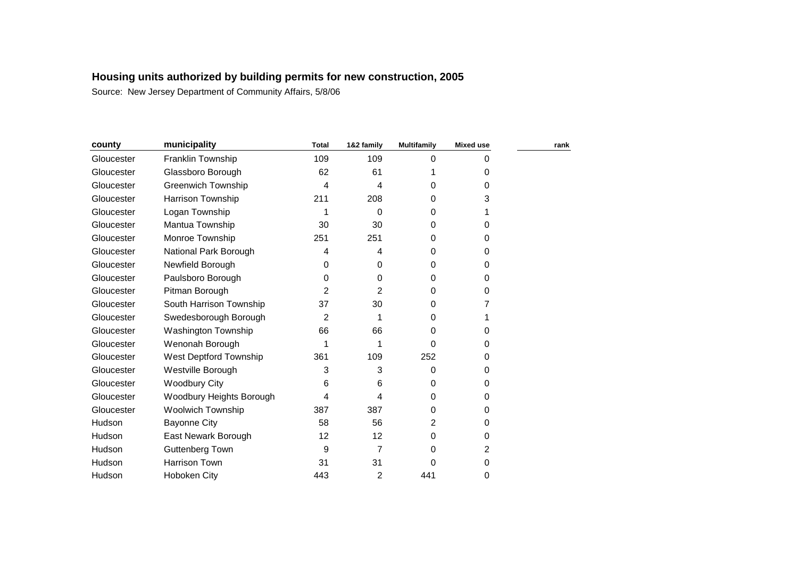| county     | municipality              | <b>Total</b>   | 1&2 family     | <b>Multifamily</b> | <b>Mixed use</b> | rank |
|------------|---------------------------|----------------|----------------|--------------------|------------------|------|
| Gloucester | Franklin Township         | 109            | 109            | 0                  | 0                |      |
| Gloucester | Glassboro Borough         | 62             | 61             |                    | $\Omega$         |      |
| Gloucester | <b>Greenwich Township</b> | 4              | 4              | 0                  | $\Omega$         |      |
| Gloucester | Harrison Township         | 211            | 208            | 0                  | 3                |      |
| Gloucester | Logan Township            |                | 0              | 0                  |                  |      |
| Gloucester | Mantua Township           | 30             | 30             | 0                  | 0                |      |
| Gloucester | Monroe Township           | 251            | 251            | 0                  | 0                |      |
| Gloucester | National Park Borough     | 4              | 4              | 0                  | 0                |      |
| Gloucester | Newfield Borough          | 0              | 0              | 0                  | $\Omega$         |      |
| Gloucester | Paulsboro Borough         | 0              | 0              | 0                  | $\Omega$         |      |
| Gloucester | Pitman Borough            | $\overline{2}$ | $\overline{2}$ | 0                  | 0                |      |
| Gloucester | South Harrison Township   | 37             | 30             | 0                  | 7                |      |
| Gloucester | Swedesborough Borough     | 2              | 1              | 0                  |                  |      |
| Gloucester | Washington Township       | 66             | 66             | 0                  | 0                |      |
| Gloucester | Wenonah Borough           |                | 1              | 0                  | 0                |      |
| Gloucester | West Deptford Township    | 361            | 109            | 252                | 0                |      |
| Gloucester | Westville Borough         | 3              | 3              | 0                  | 0                |      |
| Gloucester | <b>Woodbury City</b>      | 6              | 6              | 0                  | 0                |      |
| Gloucester | Woodbury Heights Borough  | 4              | 4              | 0                  | 0                |      |
| Gloucester | <b>Woolwich Township</b>  | 387            | 387            | 0                  | 0                |      |
| Hudson     | <b>Bayonne City</b>       | 58             | 56             | 2                  | 0                |      |
| Hudson     | East Newark Borough       | 12             | 12             | 0                  | 0                |      |
| Hudson     | Guttenberg Town           | 9              | 7              | 0                  | 2                |      |
| Hudson     | Harrison Town             | 31             | 31             | 0                  | 0                |      |
| Hudson     | Hoboken City              | 443            | 2              | 441                | 0                |      |
|            |                           |                |                |                    |                  |      |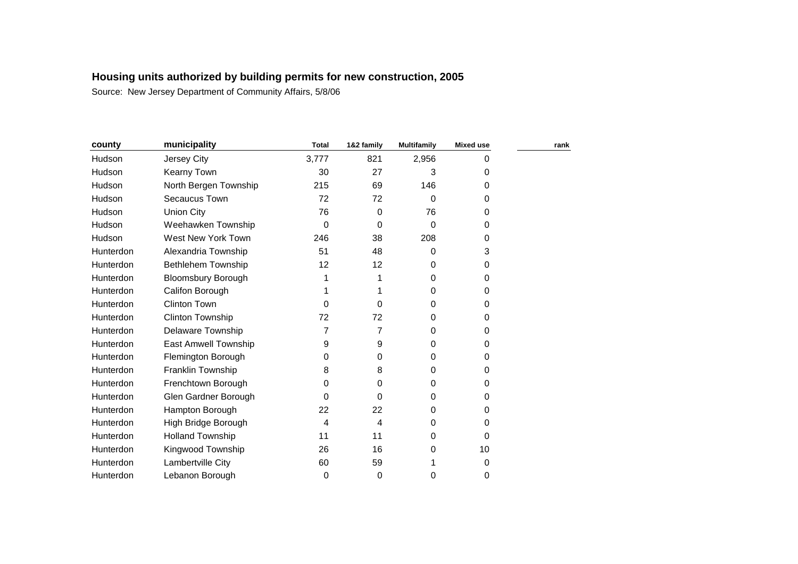| county    | municipality              | <b>Total</b> | 1&2 family | <b>Multifamily</b> | <b>Mixed use</b> | rank |
|-----------|---------------------------|--------------|------------|--------------------|------------------|------|
| Hudson    | Jersey City               | 3,777        | 821        | 2,956              | 0                |      |
| Hudson    | Kearny Town               | 30           | 27         | 3                  | 0                |      |
| Hudson    | North Bergen Township     | 215          | 69         | 146                | 0                |      |
| Hudson    | Secaucus Town             | 72           | 72         | 0                  | $\Omega$         |      |
| Hudson    | <b>Union City</b>         | 76           | 0          | 76                 | 0                |      |
| Hudson    | Weehawken Township        | $\Omega$     | 0          | 0                  | 0                |      |
| Hudson    | West New York Town        | 246          | 38         | 208                | 0                |      |
| Hunterdon | Alexandria Township       | 51           | 48         | 0                  | 3                |      |
| Hunterdon | Bethlehem Township        | 12           | 12         | 0                  | 0                |      |
| Hunterdon | <b>Bloomsbury Borough</b> |              | 1          | 0                  | 0                |      |
| Hunterdon | Califon Borough           |              |            | 0                  | 0                |      |
| Hunterdon | <b>Clinton Town</b>       | 0            | 0          | 0                  | 0                |      |
| Hunterdon | <b>Clinton Township</b>   | 72           | 72         | 0                  | 0                |      |
| Hunterdon | <b>Delaware Township</b>  | 7            | 7          | 0                  | 0                |      |
| Hunterdon | East Amwell Township      | 9            | 9          | 0                  | 0                |      |
| Hunterdon | Flemington Borough        | 0            | 0          | 0                  | 0                |      |
| Hunterdon | Franklin Township         | 8            | 8          | 0                  | 0                |      |
| Hunterdon | Frenchtown Borough        | $\Omega$     | 0          | 0                  | 0                |      |
| Hunterdon | Glen Gardner Borough      | 0            | 0          | 0                  | 0                |      |
| Hunterdon | Hampton Borough           | 22           | 22         | 0                  | 0                |      |
| Hunterdon | High Bridge Borough       | 4            | 4          | 0                  | 0                |      |
| Hunterdon | <b>Holland Township</b>   | 11           | 11         | 0                  | 0                |      |
| Hunterdon | Kingwood Township         | 26           | 16         | 0                  | 10               |      |
| Hunterdon | Lambertville City         | 60           | 59         |                    | 0                |      |
| Hunterdon | Lebanon Borough           | $\mathbf 0$  | 0          | 0                  | 0                |      |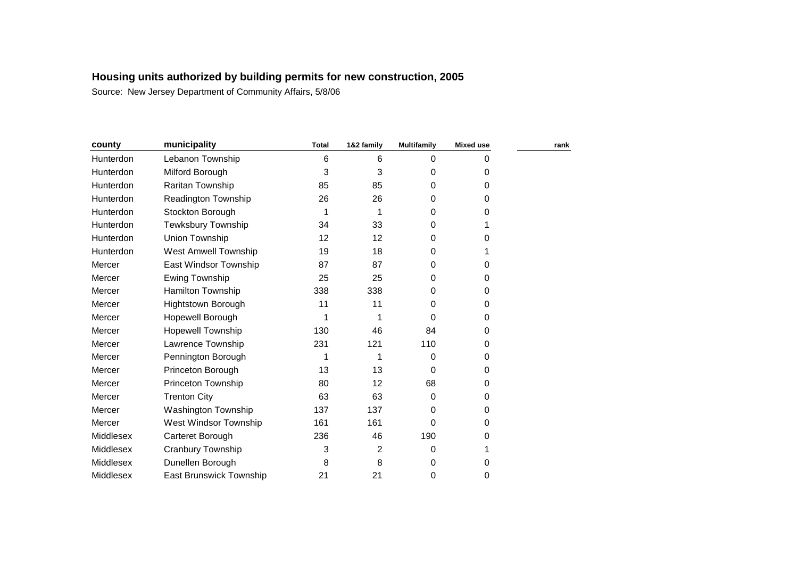| county    | municipality                | <b>Total</b> | 1&2 family     | <b>Multifamily</b> | <b>Mixed use</b> | rank |
|-----------|-----------------------------|--------------|----------------|--------------------|------------------|------|
| Hunterdon | Lebanon Township            | 6            | 6              | 0                  | 0                |      |
| Hunterdon | Milford Borough             | 3            | 3              | 0                  | 0                |      |
| Hunterdon | Raritan Township            | 85           | 85             | 0                  | 0                |      |
| Hunterdon | Readington Township         | 26           | 26             | 0                  | 0                |      |
| Hunterdon | Stockton Borough            | 1            | 1              | 0                  | 0                |      |
| Hunterdon | <b>Tewksbury Township</b>   | 34           | 33             | 0                  |                  |      |
| Hunterdon | Union Township              | 12           | 12             | 0                  | 0                |      |
| Hunterdon | <b>West Amwell Township</b> | 19           | 18             | 0                  |                  |      |
| Mercer    | East Windsor Township       | 87           | 87             | 0                  | 0                |      |
| Mercer    | Ewing Township              | 25           | 25             | 0                  | 0                |      |
| Mercer    | Hamilton Township           | 338          | 338            | 0                  | 0                |      |
| Mercer    | <b>Hightstown Borough</b>   | 11           | 11             | 0                  | 0                |      |
| Mercer    | Hopewell Borough            | 1            | 1              | 0                  | 0                |      |
| Mercer    | <b>Hopewell Township</b>    | 130          | 46             | 84                 | 0                |      |
| Mercer    | Lawrence Township           | 231          | 121            | 110                | 0                |      |
| Mercer    | Pennington Borough          |              | 1              | 0                  | 0                |      |
| Mercer    | Princeton Borough           | 13           | 13             | 0                  | 0                |      |
| Mercer    | Princeton Township          | 80           | 12             | 68                 | 0                |      |
| Mercer    | <b>Trenton City</b>         | 63           | 63             | 0                  | 0                |      |
| Mercer    | <b>Washington Township</b>  | 137          | 137            | 0                  | 0                |      |
| Mercer    | West Windsor Township       | 161          | 161            | 0                  | 0                |      |
| Middlesex | Carteret Borough            | 236          | 46             | 190                | 0                |      |
| Middlesex | Cranbury Township           | 3            | $\overline{2}$ | 0                  |                  |      |
| Middlesex | Dunellen Borough            | 8            | 8              | 0                  | 0                |      |
| Middlesex | East Brunswick Township     | 21           | 21             | 0                  | 0                |      |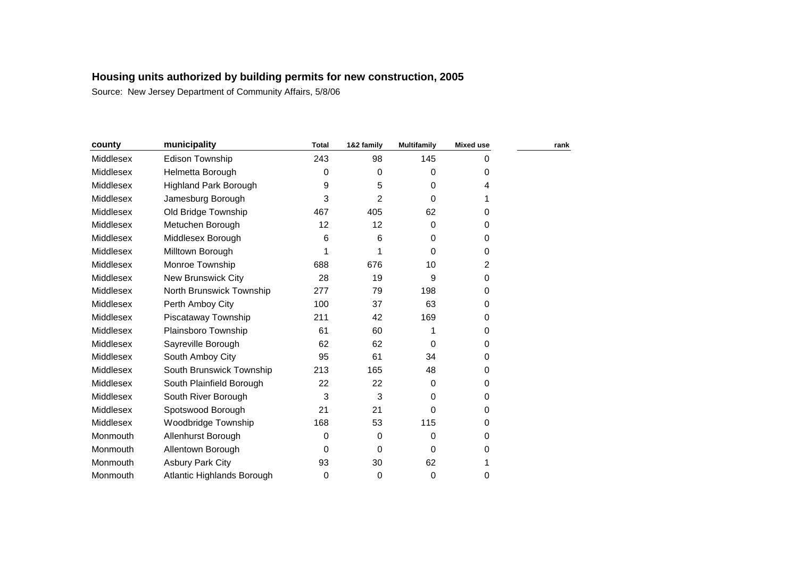| county    | municipality                 | <b>Total</b> | 1&2 family | <b>Multifamily</b> | <b>Mixed use</b> | rank |
|-----------|------------------------------|--------------|------------|--------------------|------------------|------|
| Middlesex | Edison Township              | 243          | 98         | 145                | 0                |      |
| Middlesex | Helmetta Borough             | 0            | 0          | $\Omega$           | 0                |      |
| Middlesex | <b>Highland Park Borough</b> | 9            | 5          | 0                  | 4                |      |
| Middlesex | Jamesburg Borough            | 3            | 2          | $\Omega$           |                  |      |
| Middlesex | Old Bridge Township          | 467          | 405        | 62                 | 0                |      |
| Middlesex | Metuchen Borough             | 12           | 12         | $\Omega$           | 0                |      |
| Middlesex | Middlesex Borough            | 6            | 6          | $\Omega$           | 0                |      |
| Middlesex | Milltown Borough             |              |            | $\Omega$           | $\Omega$         |      |
| Middlesex | Monroe Township              | 688          | 676        | 10                 | 2                |      |
| Middlesex | <b>New Brunswick City</b>    | 28           | 19         | 9                  | $\mathbf 0$      |      |
| Middlesex | North Brunswick Township     | 277          | 79         | 198                | 0                |      |
| Middlesex | Perth Amboy City             | 100          | 37         | 63                 | 0                |      |
| Middlesex | Piscataway Township          | 211          | 42         | 169                | 0                |      |
| Middlesex | Plainsboro Township          | 61           | 60         | 1                  | 0                |      |
| Middlesex | Sayreville Borough           | 62           | 62         | $\Omega$           | 0                |      |
| Middlesex | South Amboy City             | 95           | 61         | 34                 | 0                |      |
| Middlesex | South Brunswick Township     | 213          | 165        | 48                 | 0                |      |
| Middlesex | South Plainfield Borough     | 22           | 22         | $\Omega$           | 0                |      |
| Middlesex | South River Borough          | 3            | 3          | 0                  | 0                |      |
| Middlesex | Spotswood Borough            | 21           | 21         | $\Omega$           | $\Omega$         |      |
| Middlesex | Woodbridge Township          | 168          | 53         | 115                | 0                |      |
| Monmouth  | Allenhurst Borough           | 0            | 0          | 0                  | 0                |      |
| Monmouth  | Allentown Borough            | 0            | 0          | 0                  | 0                |      |
| Monmouth  | <b>Asbury Park City</b>      | 93           | 30         | 62                 |                  |      |
| Monmouth  | Atlantic Highlands Borough   | 0            | 0          | 0                  | 0                |      |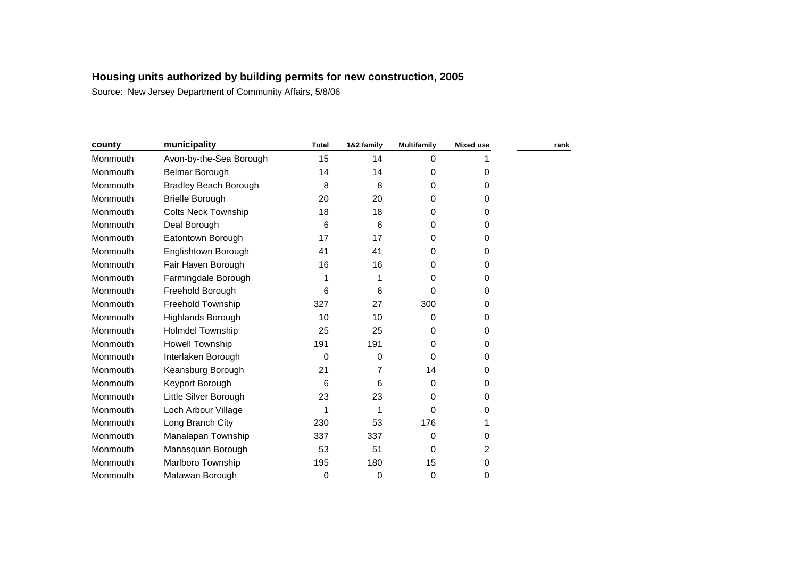| county   | municipality                 | <b>Total</b> | 1&2 family | <b>Multifamily</b> | <b>Mixed use</b> | rank |
|----------|------------------------------|--------------|------------|--------------------|------------------|------|
| Monmouth | Avon-by-the-Sea Borough      | 15           | 14         | 0                  |                  |      |
| Monmouth | Belmar Borough               | 14           | 14         | 0                  | 0                |      |
| Monmouth | <b>Bradley Beach Borough</b> | 8            | 8          | 0                  | 0                |      |
| Monmouth | <b>Brielle Borough</b>       | 20           | 20         | 0                  | 0                |      |
| Monmouth | <b>Colts Neck Township</b>   | 18           | 18         | 0                  | 0                |      |
| Monmouth | Deal Borough                 | 6            | 6          | 0                  | 0                |      |
| Monmouth | Eatontown Borough            | 17           | 17         | 0                  | 0                |      |
| Monmouth | Englishtown Borough          | 41           | 41         | 0                  | 0                |      |
| Monmouth | Fair Haven Borough           | 16           | 16         | 0                  | 0                |      |
| Monmouth | Farmingdale Borough          |              |            | 0                  | 0                |      |
| Monmouth | Freehold Borough             | 6            | 6          | 0                  | 0                |      |
| Monmouth | Freehold Township            | 327          | 27         | 300                | 0                |      |
| Monmouth | <b>Highlands Borough</b>     | 10           | 10         | 0                  | 0                |      |
| Monmouth | <b>Holmdel Township</b>      | 25           | 25         | 0                  | 0                |      |
| Monmouth | <b>Howell Township</b>       | 191          | 191        | 0                  | 0                |      |
| Monmouth | Interlaken Borough           | 0            | 0          | 0                  | 0                |      |
| Monmouth | Keansburg Borough            | 21           | 7          | 14                 | 0                |      |
| Monmouth | Keyport Borough              | 6            | 6          | 0                  | 0                |      |
| Monmouth | Little Silver Borough        | 23           | 23         | 0                  | 0                |      |
| Monmouth | Loch Arbour Village          |              | 1          | 0                  | 0                |      |
| Monmouth | Long Branch City             | 230          | 53         | 176                |                  |      |
| Monmouth | Manalapan Township           | 337          | 337        | 0                  | 0                |      |
| Monmouth | Manasquan Borough            | 53           | 51         | 0                  | 2                |      |
| Monmouth | <b>Marlboro Township</b>     | 195          | 180        | 15                 | 0                |      |
| Monmouth | Matawan Borough              | 0            | 0          | 0                  | 0                |      |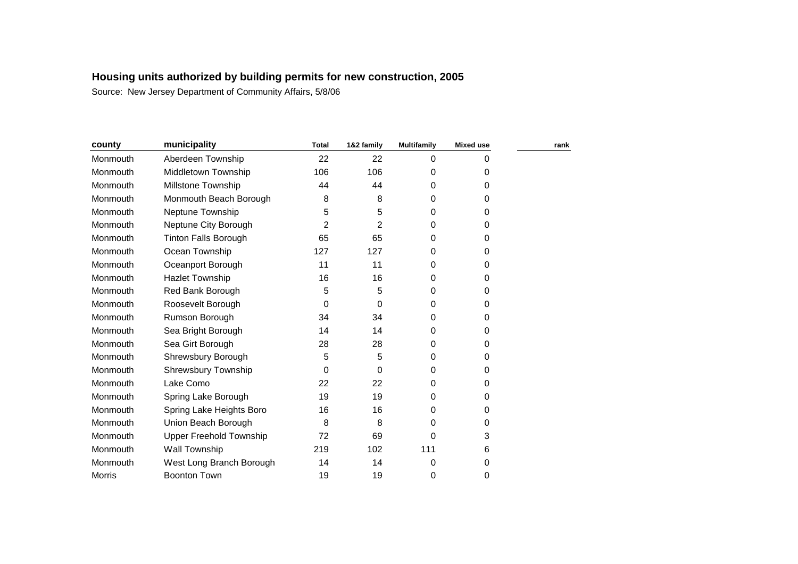| county        | municipality                   | <b>Total</b> | 1&2 family | <b>Multifamily</b> | <b>Mixed use</b> | rank |
|---------------|--------------------------------|--------------|------------|--------------------|------------------|------|
| Monmouth      | Aberdeen Township              | 22           | 22         | 0                  | $\Omega$         |      |
| Monmouth      | Middletown Township            | 106          | 106        | 0                  | 0                |      |
| Monmouth      | Millstone Township             | 44           | 44         | 0                  | $\mathbf 0$      |      |
| Monmouth      | Monmouth Beach Borough         | 8            | 8          | $\Omega$           | 0                |      |
| Monmouth      | Neptune Township               | 5            | 5          | 0                  | $\Omega$         |      |
| Monmouth      | Neptune City Borough           | 2            | 2          | 0                  | 0                |      |
| Monmouth      | <b>Tinton Falls Borough</b>    | 65           | 65         | 0                  | 0                |      |
| Monmouth      | Ocean Township                 | 127          | 127        | 0                  | 0                |      |
| Monmouth      | Oceanport Borough              | 11           | 11         | 0                  | 0                |      |
| Monmouth      | <b>Hazlet Township</b>         | 16           | 16         | 0                  | 0                |      |
| Monmouth      | Red Bank Borough               | 5            | 5          | $\Omega$           | $\Omega$         |      |
| Monmouth      | Roosevelt Borough              | 0            | 0          | 0                  | 0                |      |
| Monmouth      | Rumson Borough                 | 34           | 34         | 0                  | 0                |      |
| Monmouth      | Sea Bright Borough             | 14           | 14         | 0                  | 0                |      |
| Monmouth      | Sea Girt Borough               | 28           | 28         | 0                  | $\Omega$         |      |
| Monmouth      | Shrewsbury Borough             | 5            | 5          | 0                  | 0                |      |
| Monmouth      | Shrewsbury Township            | 0            | 0          | 0                  | 0                |      |
| Monmouth      | Lake Como                      | 22           | 22         | 0                  | 0                |      |
| Monmouth      | Spring Lake Borough            | 19           | 19         | 0                  | 0                |      |
| Monmouth      | Spring Lake Heights Boro       | 16           | 16         | 0                  | 0                |      |
| Monmouth      | Union Beach Borough            | 8            | 8          | 0                  | 0                |      |
| Monmouth      | <b>Upper Freehold Township</b> | 72           | 69         | 0                  | 3                |      |
| Monmouth      | Wall Township                  | 219          | 102        | 111                | 6                |      |
| Monmouth      | West Long Branch Borough       | 14           | 14         | 0                  | 0                |      |
| <b>Morris</b> | <b>Boonton Town</b>            | 19           | 19         | 0                  | 0                |      |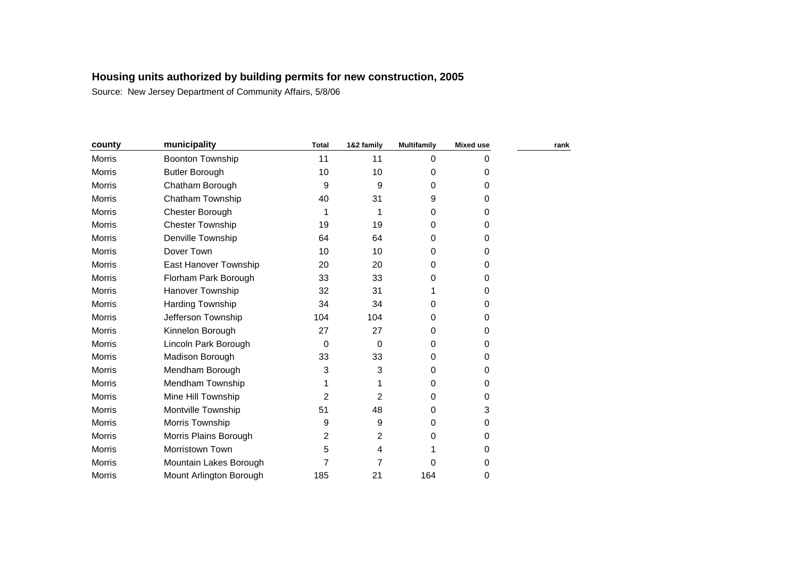| county        | municipality            | <b>Total</b>   | 1&2 family     | <b>Multifamily</b> | <b>Mixed use</b> | rank |
|---------------|-------------------------|----------------|----------------|--------------------|------------------|------|
| <b>Morris</b> | Boonton Township        | 11             | 11             | 0                  | 0                |      |
| <b>Morris</b> | <b>Butler Borough</b>   | 10             | 10             | 0                  | 0                |      |
| <b>Morris</b> | Chatham Borough         | 9              | 9              | 0                  | 0                |      |
| <b>Morris</b> | Chatham Township        | 40             | 31             | 9                  | 0                |      |
| Morris        | Chester Borough         |                | 1              | 0                  | 0                |      |
| <b>Morris</b> | <b>Chester Township</b> | 19             | 19             | 0                  | 0                |      |
| <b>Morris</b> | Denville Township       | 64             | 64             | 0                  | 0                |      |
| <b>Morris</b> | Dover Town              | 10             | 10             | 0                  | 0                |      |
| Morris        | East Hanover Township   | 20             | 20             | 0                  | 0                |      |
| Morris        | Florham Park Borough    | 33             | 33             | 0                  | 0                |      |
| <b>Morris</b> | Hanover Township        | 32             | 31             |                    | 0                |      |
| Morris        | Harding Township        | 34             | 34             | 0                  | 0                |      |
| <b>Morris</b> | Jefferson Township      | 104            | 104            | 0                  | 0                |      |
| Morris        | Kinnelon Borough        | 27             | 27             | 0                  | 0                |      |
| Morris        | Lincoln Park Borough    | 0              | 0              | 0                  | 0                |      |
| <b>Morris</b> | Madison Borough         | 33             | 33             | 0                  | 0                |      |
| Morris        | Mendham Borough         | 3              | 3              | 0                  | 0                |      |
| Morris        | Mendham Township        |                |                | 0                  | 0                |      |
| <b>Morris</b> | Mine Hill Township      | $\overline{2}$ | $\overline{2}$ | 0                  | 0                |      |
| <b>Morris</b> | Montville Township      | 51             | 48             | 0                  | 3                |      |
| <b>Morris</b> | Morris Township         | 9              | 9              | 0                  | 0                |      |
| Morris        | Morris Plains Borough   | 2              | 2              | 0                  | 0                |      |
| Morris        | Morristown Town         | 5              | 4              |                    | 0                |      |
| <b>Morris</b> | Mountain Lakes Borough  | 7              | $\overline{7}$ | 0                  | 0                |      |
| <b>Morris</b> | Mount Arlington Borough | 185            | 21             | 164                | 0                |      |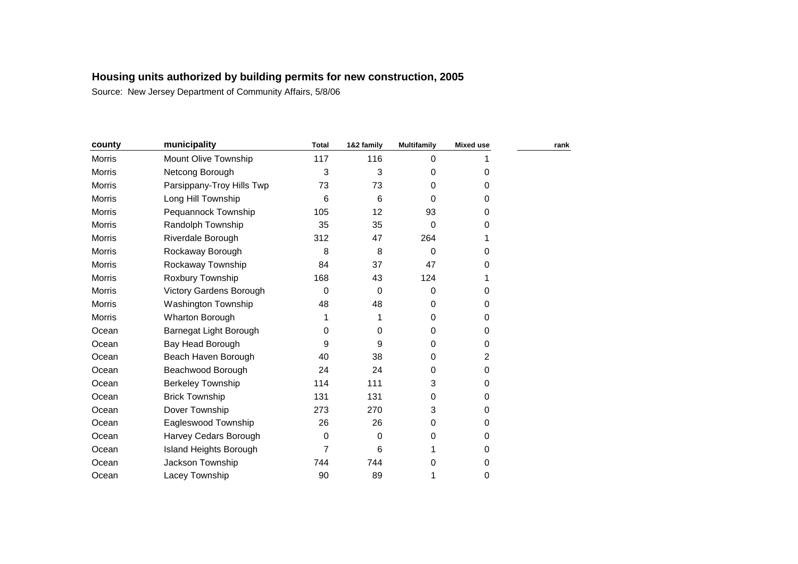| county        | municipality              | <b>Total</b> | 1&2 family | <b>Multifamily</b> | <b>Mixed use</b> | rank |
|---------------|---------------------------|--------------|------------|--------------------|------------------|------|
| Morris        | Mount Olive Township      | 117          | 116        | 0                  |                  |      |
| Morris        | Netcong Borough           | 3            | 3          | 0                  | 0                |      |
| Morris        | Parsippany-Troy Hills Twp | 73           | 73         | 0                  | 0                |      |
| <b>Morris</b> | Long Hill Township        | 6            | 6          | $\Omega$           | 0                |      |
| Morris        | Pequannock Township       | 105          | 12         | 93                 | 0                |      |
| Morris        | Randolph Township         | 35           | 35         | 0                  | 0                |      |
| Morris        | Riverdale Borough         | 312          | 47         | 264                |                  |      |
| Morris        | Rockaway Borough          | 8            | 8          | 0                  | 0                |      |
| <b>Morris</b> | Rockaway Township         | 84           | 37         | 47                 | 0                |      |
| Morris        | Roxbury Township          | 168          | 43         | 124                |                  |      |
| Morris        | Victory Gardens Borough   | 0            | 0          | 0                  | 0                |      |
| Morris        | Washington Township       | 48           | 48         | 0                  | 0                |      |
| Morris        | <b>Wharton Borough</b>    | 1            |            | 0                  | 0                |      |
| Ocean         | Barnegat Light Borough    | 0            | 0          | 0                  | 0                |      |
| Ocean         | Bay Head Borough          | 9            | 9          | 0                  | 0                |      |
| Ocean         | Beach Haven Borough       | 40           | 38         | 0                  | 2                |      |
| Ocean         | Beachwood Borough         | 24           | 24         | 0                  | 0                |      |
| Ocean         | <b>Berkeley Township</b>  | 114          | 111        | 3                  | 0                |      |
| Ocean         | <b>Brick Township</b>     | 131          | 131        | 0                  | 0                |      |
| Ocean         | Dover Township            | 273          | 270        | 3                  | 0                |      |
| Ocean         | Eagleswood Township       | 26           | 26         | 0                  | 0                |      |
| Ocean         | Harvey Cedars Borough     | 0            | 0          | 0                  | 0                |      |
| Ocean         | Island Heights Borough    | 7            | 6          |                    | 0                |      |
| Ocean         | Jackson Township          | 744          | 744        | 0                  | 0                |      |
| Ocean         | Lacey Township            | 90           | 89         | 1                  | 0                |      |
|               |                           |              |            |                    |                  |      |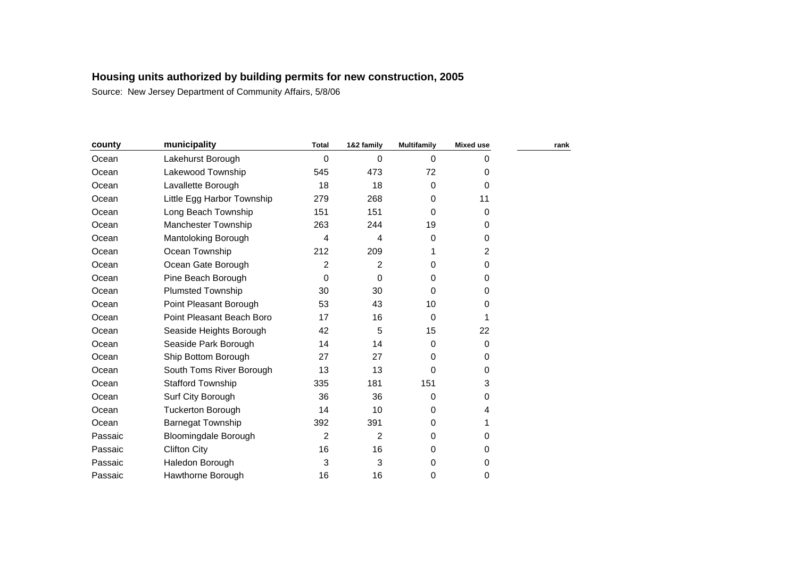| county  | municipality                | <b>Total</b> | 1&2 family     | <b>Multifamily</b> | <b>Mixed use</b> | rank |
|---------|-----------------------------|--------------|----------------|--------------------|------------------|------|
| Ocean   | Lakehurst Borough           | 0            | 0              | $\Omega$           | 0                |      |
| Ocean   | Lakewood Township           | 545          | 473            | 72                 | 0                |      |
| Ocean   | Lavallette Borough          | 18           | 18             | 0                  | $\Omega$         |      |
| Ocean   | Little Egg Harbor Township  | 279          | 268            | 0                  | 11               |      |
| Ocean   | Long Beach Township         | 151          | 151            | 0                  | $\Omega$         |      |
| Ocean   | <b>Manchester Township</b>  | 263          | 244            | 19                 | 0                |      |
| Ocean   | Mantoloking Borough         | 4            | 4              | 0                  | 0                |      |
| Ocean   | Ocean Township              | 212          | 209            | 1                  | 2                |      |
| Ocean   | Ocean Gate Borough          | 2            | $\overline{2}$ | 0                  | $\Omega$         |      |
| Ocean   | Pine Beach Borough          | 0            | 0              | 0                  | 0                |      |
| Ocean   | <b>Plumsted Township</b>    | 30           | 30             | 0                  | 0                |      |
| Ocean   | Point Pleasant Borough      | 53           | 43             | 10                 | 0                |      |
| Ocean   | Point Pleasant Beach Boro   | 17           | 16             | $\Omega$           |                  |      |
| Ocean   | Seaside Heights Borough     | 42           | 5              | 15                 | 22               |      |
| Ocean   | Seaside Park Borough        | 14           | 14             | 0                  | $\mathbf 0$      |      |
| Ocean   | Ship Bottom Borough         | 27           | 27             | 0                  | 0                |      |
| Ocean   | South Toms River Borough    | 13           | 13             | 0                  | 0                |      |
| Ocean   | <b>Stafford Township</b>    | 335          | 181            | 151                | 3                |      |
| Ocean   | Surf City Borough           | 36           | 36             | 0                  | $\Omega$         |      |
| Ocean   | <b>Tuckerton Borough</b>    | 14           | 10             | 0                  | 4                |      |
| Ocean   | Barnegat Township           | 392          | 391            | 0                  |                  |      |
| Passaic | <b>Bloomingdale Borough</b> | 2            | $\overline{2}$ | 0                  | 0                |      |
| Passaic | <b>Clifton City</b>         | 16           | 16             | 0                  | 0                |      |
| Passaic | Haledon Borough             | 3            | 3              | 0                  | 0                |      |
| Passaic | Hawthorne Borough           | 16           | 16             | 0                  | 0                |      |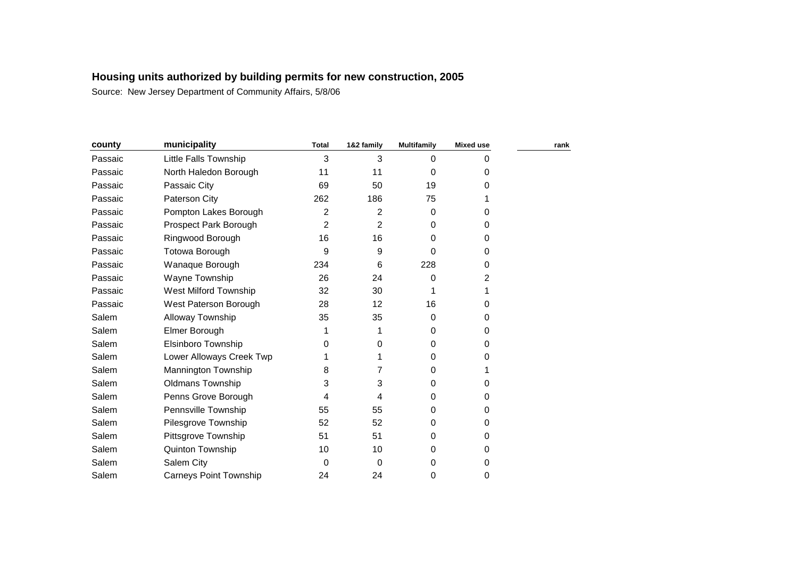| county  | municipality                  | <b>Total</b> | 1&2 family     | <b>Multifamily</b> | <b>Mixed use</b> | rank |
|---------|-------------------------------|--------------|----------------|--------------------|------------------|------|
| Passaic | Little Falls Township         | 3            | 3              | 0                  | 0                |      |
| Passaic | North Haledon Borough         | 11           | 11             | 0                  | 0                |      |
| Passaic | Passaic City                  | 69           | 50             | 19                 | 0                |      |
| Passaic | Paterson City                 | 262          | 186            | 75                 |                  |      |
| Passaic | Pompton Lakes Borough         | 2            | 2              | 0                  | 0                |      |
| Passaic | Prospect Park Borough         | 2            | $\overline{2}$ | 0                  | 0                |      |
| Passaic | Ringwood Borough              | 16           | 16             | 0                  | 0                |      |
| Passaic | <b>Totowa Borough</b>         | 9            | 9              | 0                  | 0                |      |
| Passaic | Wanaque Borough               | 234          | 6              | 228                | 0                |      |
| Passaic | Wayne Township                | 26           | 24             | 0                  | 2                |      |
| Passaic | West Milford Township         | 32           | 30             |                    |                  |      |
| Passaic | West Paterson Borough         | 28           | 12             | 16                 | 0                |      |
| Salem   | Alloway Township              | 35           | 35             | 0                  | 0                |      |
| Salem   | Elmer Borough                 | 1            | 1              | 0                  | 0                |      |
| Salem   | Elsinboro Township            | 0            | 0              | 0                  | 0                |      |
| Salem   | Lower Alloways Creek Twp      |              |                | 0                  | 0                |      |
| Salem   | Mannington Township           | 8            | 7              | 0                  |                  |      |
| Salem   | Oldmans Township              | 3            | 3              | 0                  | 0                |      |
| Salem   | Penns Grove Borough           | 4            | 4              | 0                  | 0                |      |
| Salem   | Pennsville Township           | 55           | 55             | 0                  | 0                |      |
| Salem   | Pilesgrove Township           | 52           | 52             | 0                  | 0                |      |
| Salem   | Pittsgrove Township           | 51           | 51             | 0                  | 0                |      |
| Salem   | Quinton Township              | 10           | 10             | 0                  | 0                |      |
| Salem   | Salem City                    | 0            | 0              | 0                  | 0                |      |
| Salem   | <b>Carneys Point Township</b> | 24           | 24             | 0                  | 0                |      |
|         |                               |              |                |                    |                  |      |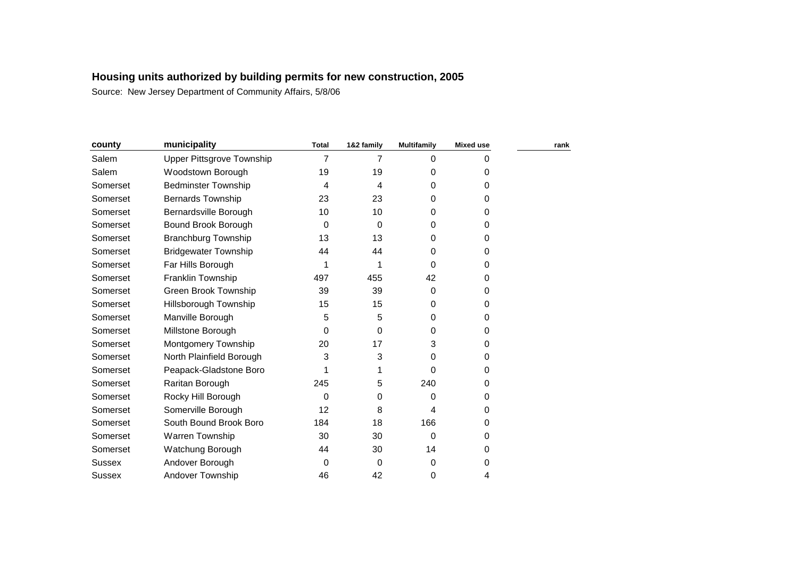| county        | municipality                     | <b>Total</b> | 1&2 family | <b>Multifamily</b> | <b>Mixed use</b> | rank |
|---------------|----------------------------------|--------------|------------|--------------------|------------------|------|
| Salem         | <b>Upper Pittsgrove Township</b> | 7            | 7          | 0                  | 0                |      |
| Salem         | Woodstown Borough                | 19           | 19         | 0                  | 0                |      |
| Somerset      | <b>Bedminster Township</b>       | 4            | 4          | 0                  | 0                |      |
| Somerset      | <b>Bernards Township</b>         | 23           | 23         | 0                  | 0                |      |
| Somerset      | Bernardsville Borough            | 10           | 10         | 0                  | 0                |      |
| Somerset      | Bound Brook Borough              | 0            | 0          | 0                  | 0                |      |
| Somerset      | <b>Branchburg Township</b>       | 13           | 13         | 0                  | 0                |      |
| Somerset      | <b>Bridgewater Township</b>      | 44           | 44         | 0                  | 0                |      |
| Somerset      | Far Hills Borough                | 1            | 1          | $\Omega$           | 0                |      |
| Somerset      | Franklin Township                | 497          | 455        | 42                 | 0                |      |
| Somerset      | <b>Green Brook Township</b>      | 39           | 39         | 0                  | 0                |      |
| Somerset      | Hillsborough Township            | 15           | 15         | 0                  | 0                |      |
| Somerset      | Manville Borough                 | 5            | 5          | 0                  | 0                |      |
| Somerset      | Millstone Borough                | 0            | 0          | 0                  | 0                |      |
| Somerset      | Montgomery Township              | 20           | 17         | 3                  | 0                |      |
| Somerset      | North Plainfield Borough         | 3            | 3          | 0                  | 0                |      |
| Somerset      | Peapack-Gladstone Boro           |              |            | 0                  | 0                |      |
| Somerset      | Raritan Borough                  | 245          | 5          | 240                | 0                |      |
| Somerset      | Rocky Hill Borough               | 0            | 0          | 0                  | 0                |      |
| Somerset      | Somerville Borough               | 12           | 8          | 4                  | 0                |      |
| Somerset      | South Bound Brook Boro           | 184          | 18         | 166                | 0                |      |
| Somerset      | Warren Township                  | 30           | 30         | 0                  | 0                |      |
| Somerset      | Watchung Borough                 | 44           | 30         | 14                 | 0                |      |
| Sussex        | Andover Borough                  | 0            | 0          | 0                  | 0                |      |
| <b>Sussex</b> | Andover Township                 | 46           | 42         | 0                  | 4                |      |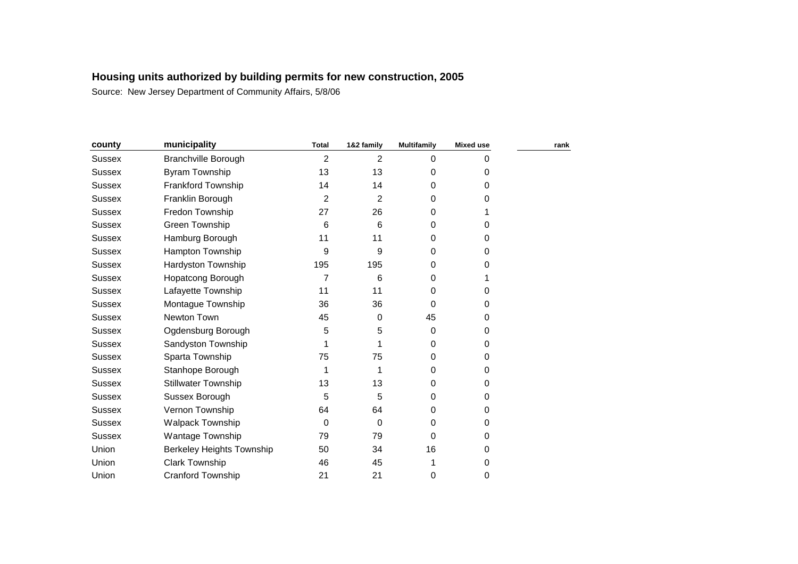| county        | municipality               | <b>Total</b>   | 1&2 family     | <b>Multifamily</b> | <b>Mixed use</b> | rank |
|---------------|----------------------------|----------------|----------------|--------------------|------------------|------|
| <b>Sussex</b> | <b>Branchville Borough</b> | $\overline{2}$ | $\overline{2}$ | 0                  | 0                |      |
| <b>Sussex</b> | <b>Byram Township</b>      | 13             | 13             | 0                  | 0                |      |
| Sussex        | Frankford Township         | 14             | 14             | 0                  | 0                |      |
| <b>Sussex</b> | Franklin Borough           | 2              | 2              | $\Omega$           | 0                |      |
| <b>Sussex</b> | Fredon Township            | 27             | 26             | 0                  |                  |      |
| <b>Sussex</b> | Green Township             | 6              | 6              | 0                  | 0                |      |
| <b>Sussex</b> | Hamburg Borough            | 11             | 11             | 0                  | 0                |      |
| Sussex        | Hampton Township           | 9              | 9              | 0                  | 0                |      |
| <b>Sussex</b> | Hardyston Township         | 195            | 195            | 0                  | 0                |      |
| Sussex        | Hopatcong Borough          | 7              | 6              | 0                  |                  |      |
| <b>Sussex</b> | Lafayette Township         | 11             | 11             | 0                  | 0                |      |
| <b>Sussex</b> | Montague Township          | 36             | 36             | 0                  | 0                |      |
| <b>Sussex</b> | Newton Town                | 45             | 0              | 45                 | 0                |      |
| <b>Sussex</b> | Ogdensburg Borough         | 5              | 5              | 0                  | 0                |      |
| Sussex        | Sandyston Township         |                |                | 0                  | 0                |      |
| <b>Sussex</b> | Sparta Township            | 75             | 75             | 0                  | 0                |      |
| <b>Sussex</b> | Stanhope Borough           |                | 1              | 0                  | 0                |      |
| <b>Sussex</b> | <b>Stillwater Township</b> | 13             | 13             | 0                  | 0                |      |
| <b>Sussex</b> | Sussex Borough             | 5              | 5              | 0                  | 0                |      |
| <b>Sussex</b> | Vernon Township            | 64             | 64             | 0                  | 0                |      |
| Sussex        | Walpack Township           | 0              | 0              | 0                  | 0                |      |
| <b>Sussex</b> | Wantage Township           | 79             | 79             | 0                  | 0                |      |
| Union         | Berkeley Heights Township  | 50             | 34             | 16                 | 0                |      |
| Union         | <b>Clark Township</b>      | 46             | 45             |                    | 0                |      |
| Union         | <b>Cranford Township</b>   | 21             | 21             | 0                  | 0                |      |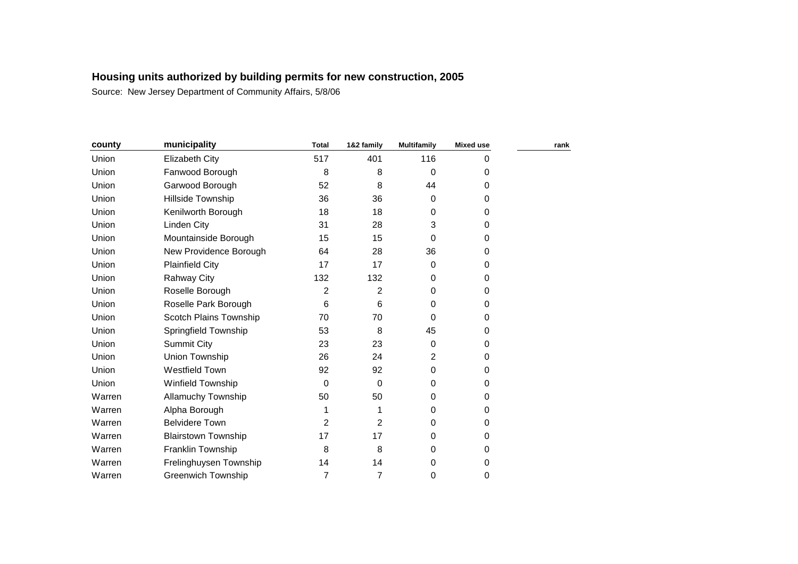| county | municipality               | <b>Total</b>   | 1&2 family     | <b>Multifamily</b> | <b>Mixed use</b> | rank |
|--------|----------------------------|----------------|----------------|--------------------|------------------|------|
| Union  | Elizabeth City             | 517            | 401            | 116                | 0                |      |
| Union  | Fanwood Borough            | 8              | 8              | 0                  | 0                |      |
| Union  | Garwood Borough            | 52             | 8              | 44                 | 0                |      |
| Union  | <b>Hillside Township</b>   | 36             | 36             | 0                  | 0                |      |
| Union  | Kenilworth Borough         | 18             | 18             | 0                  | 0                |      |
| Union  | Linden City                | 31             | 28             | 3                  | $\Omega$         |      |
| Union  | Mountainside Borough       | 15             | 15             | 0                  | $\Omega$         |      |
| Union  | New Providence Borough     | 64             | 28             | 36                 | $\Omega$         |      |
| Union  | <b>Plainfield City</b>     | 17             | 17             | $\Omega$           | $\Omega$         |      |
| Union  | <b>Rahway City</b>         | 132            | 132            | 0                  | $\Omega$         |      |
| Union  | Roselle Borough            | $\overline{2}$ | $\overline{2}$ | 0                  | $\mathbf 0$      |      |
| Union  | Roselle Park Borough       | 6              | 6              | 0                  | 0                |      |
| Union  | Scotch Plains Township     | 70             | 70             | 0                  | 0                |      |
| Union  | Springfield Township       | 53             | 8              | 45                 | 0                |      |
| Union  | <b>Summit City</b>         | 23             | 23             | 0                  | 0                |      |
| Union  | Union Township             | 26             | 24             | $\overline{2}$     | 0                |      |
| Union  | <b>Westfield Town</b>      | 92             | 92             | 0                  | $\Omega$         |      |
| Union  | Winfield Township          | 0              | 0              | 0                  | 0                |      |
| Warren | Allamuchy Township         | 50             | 50             | 0                  | 0                |      |
| Warren | Alpha Borough              |                |                | $\mathbf 0$        | $\mathbf 0$      |      |
| Warren | <b>Belvidere Town</b>      | 2              | $\overline{2}$ | $\mathbf 0$        | $\mathbf 0$      |      |
| Warren | <b>Blairstown Township</b> | 17             | 17             | 0                  | 0                |      |
| Warren | Franklin Township          | 8              | 8              | 0                  | 0                |      |
| Warren | Frelinghuysen Township     | 14             | 14             | 0                  | 0                |      |
| Warren | <b>Greenwich Township</b>  | 7              | 7              | 0                  | $\pmb{0}$        |      |